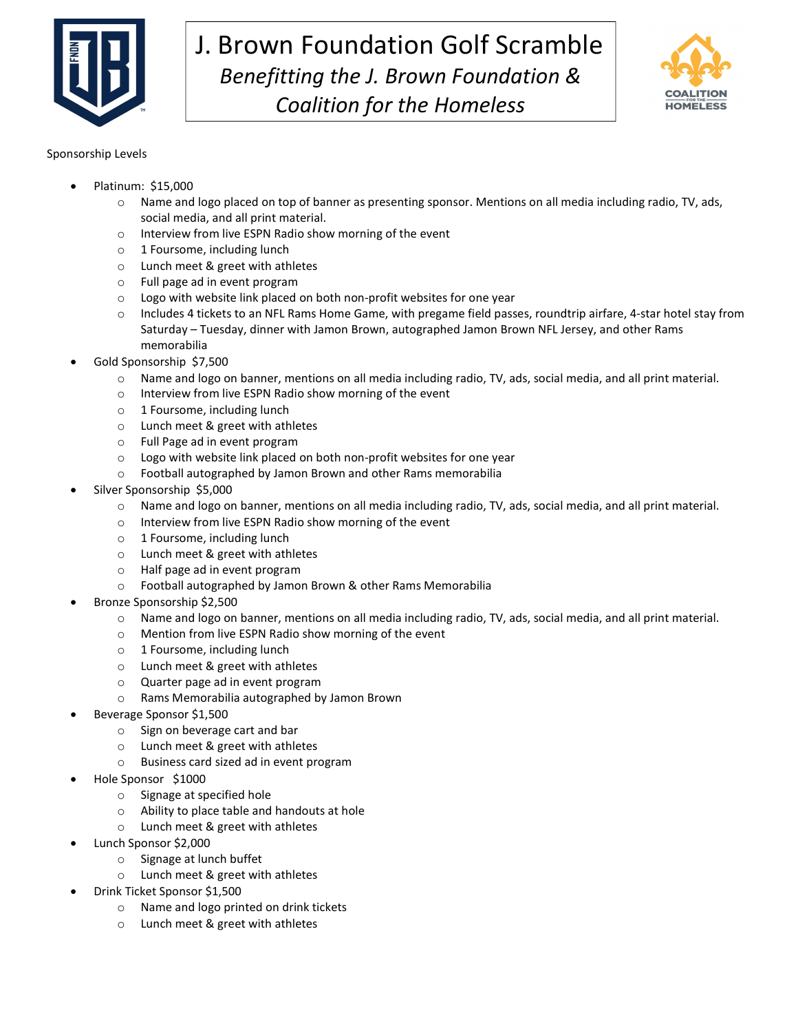

## J. Brown Foundation Golf Scramble Benefitting the J. Brown Foundation & Coalition for the Homeless



## Sponsorship Levels

- Platinum: \$15,000
	- Name and logo placed on top of banner as presenting sponsor. Mentions on all media including radio, TV, ads, social media, and all print material.
	- o Interview from live ESPN Radio show morning of the event
	- o 1 Foursome, including lunch
	- o Lunch meet & greet with athletes
	- o Full page ad in event program
	- $\circ$  Logo with website link placed on both non-profit websites for one year
	- o Includes 4 tickets to an NFL Rams Home Game, with pregame field passes, roundtrip airfare, 4-star hotel stay from Saturday – Tuesday, dinner with Jamon Brown, autographed Jamon Brown NFL Jersey, and other Rams memorabilia
- Gold Sponsorship \$7,500
	- o Name and logo on banner, mentions on all media including radio, TV, ads, social media, and all print material.
	- o Interview from live ESPN Radio show morning of the event
	- o 1 Foursome, including lunch
	- o Lunch meet & greet with athletes
	- o Full Page ad in event program
	- o Logo with website link placed on both non-profit websites for one year
	- o Football autographed by Jamon Brown and other Rams memorabilia
- Silver Sponsorship \$5,000
	- o Name and logo on banner, mentions on all media including radio, TV, ads, social media, and all print material.
	- o Interview from live ESPN Radio show morning of the event
	- o 1 Foursome, including lunch
	- o Lunch meet & greet with athletes
	- o Half page ad in event program
	- o Football autographed by Jamon Brown & other Rams Memorabilia
- Bronze Sponsorship \$2,500
	- o Name and logo on banner, mentions on all media including radio, TV, ads, social media, and all print material.
	- o Mention from live ESPN Radio show morning of the event
	- o 1 Foursome, including lunch
	- o Lunch meet & greet with athletes
	- o Quarter page ad in event program
	- o Rams Memorabilia autographed by Jamon Brown
- Beverage Sponsor \$1,500
	- o Sign on beverage cart and bar
	- o Lunch meet & greet with athletes
	- o Business card sized ad in event program
- Hole Sponsor \$1000
	- o Signage at specified hole
	- o Ability to place table and handouts at hole
	- o Lunch meet & greet with athletes
- Lunch Sponsor \$2,000
	- o Signage at lunch buffet
	- o Lunch meet & greet with athletes
- Drink Ticket Sponsor \$1,500
	- o Name and logo printed on drink tickets
	- o Lunch meet & greet with athletes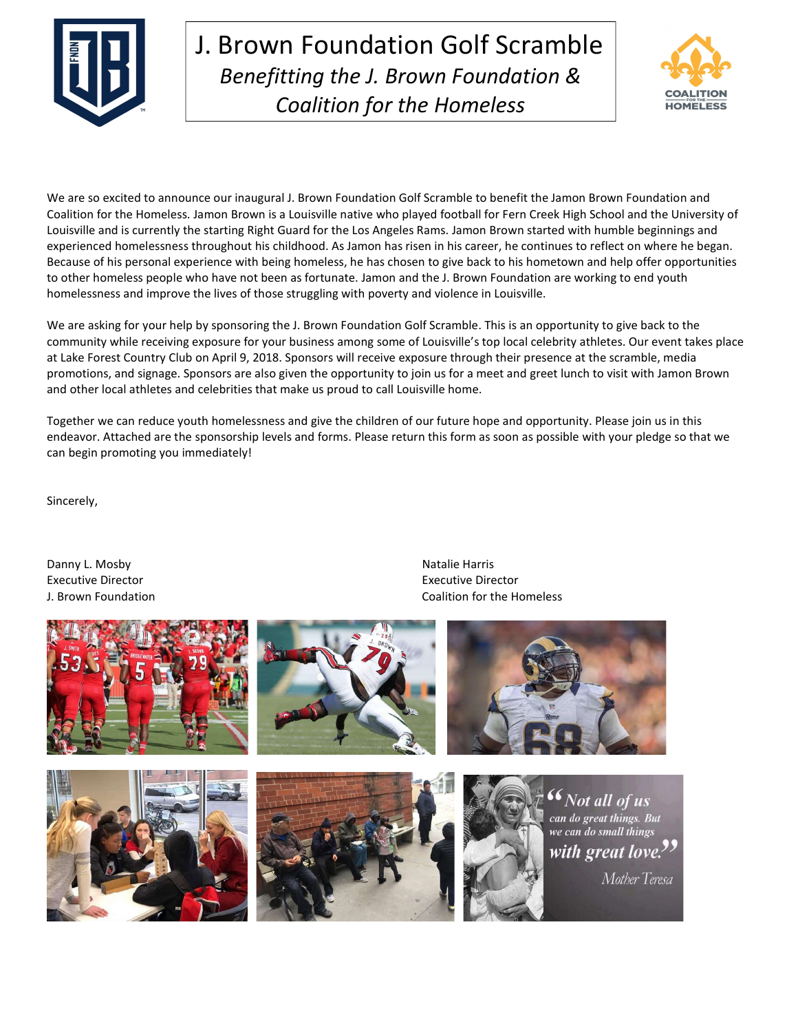

## J. Brown Foundation Golf Scramble Benefitting the J. Brown Foundation & Coalition for the Homeless



We are so excited to announce our inaugural J. Brown Foundation Golf Scramble to benefit the Jamon Brown Foundation and Coalition for the Homeless. Jamon Brown is a Louisville native who played football for Fern Creek High School and the University of Louisville and is currently the starting Right Guard for the Los Angeles Rams. Jamon Brown started with humble beginnings and experienced homelessness throughout his childhood. As Jamon has risen in his career, he continues to reflect on where he began. Because of his personal experience with being homeless, he has chosen to give back to his hometown and help offer opportunities to other homeless people who have not been as fortunate. Jamon and the J. Brown Foundation are working to end youth homelessness and improve the lives of those struggling with poverty and violence in Louisville.

We are asking for your help by sponsoring the J. Brown Foundation Golf Scramble. This is an opportunity to give back to the community while receiving exposure for your business among some of Louisville's top local celebrity athletes. Our event takes place at Lake Forest Country Club on April 9, 2018. Sponsors will receive exposure through their presence at the scramble, media promotions, and signage. Sponsors are also given the opportunity to join us for a meet and greet lunch to visit with Jamon Brown and other local athletes and celebrities that make us proud to call Louisville home.

Together we can reduce youth homelessness and give the children of our future hope and opportunity. Please join us in this endeavor. Attached are the sponsorship levels and forms. Please return this form as soon as possible with your pledge so that we can begin promoting you immediately!

Sincerely,

Danny L. Mosby Natalie Harris Natalie Harris Natalie Harris Natalie Harris Natalie Harris Natalie Harris Natalie Harris Natalie Harris Natalie Harris Natalie Harris Natalie Harris Natalie Harris Natalie Harris Natalie Harr Executive Director **Executive Director** Executive Director J. Brown Foundation Coalition for the Homeless



 $\begin{array}{c} \hline \end{array}$ 

Mother Teresa